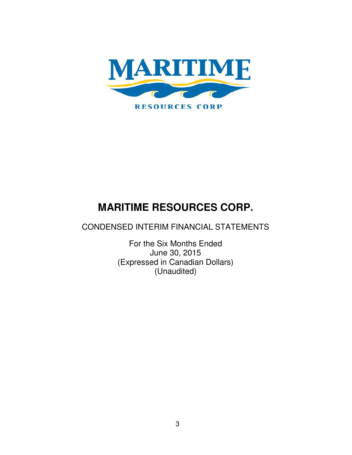

CONDENSED INTERIM FINANCIAL STATEMENTS

For the Six Months Ended June 30, 2015 (Expressed in Canadian Dollars) (Unaudited)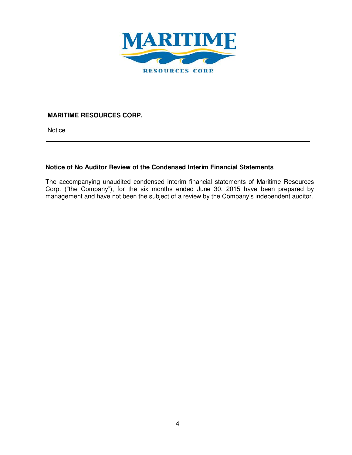

**Notice** 

# **Notice of No Auditor Review of the Condensed Interim Financial Statements**

The accompanying unaudited condensed interim financial statements of Maritime Resources Corp. ("the Company"), for the six months ended June 30, 2015 have been prepared by management and have not been the subject of a review by the Company's independent auditor.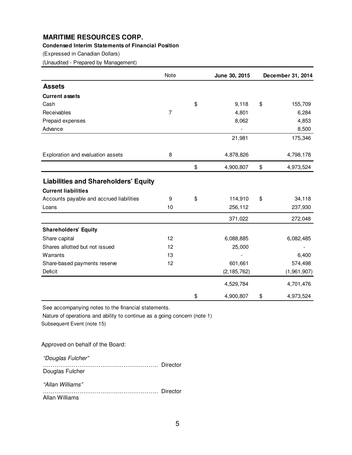#### **Condensed Interim Statements of Financial Position**

(Expressed in Canadian Dollars)

(Unaudited - Prepared by Management)

|                                             | Note | June 30, 2015   | December 31, 2014 |
|---------------------------------------------|------|-----------------|-------------------|
| <b>Assets</b>                               |      |                 |                   |
| <b>Current assets</b>                       |      |                 |                   |
| Cash                                        |      | \$<br>9,118     | \$<br>155,709     |
| Receivables                                 | 7    | 4,801           | 6,284             |
| Prepaid expenses                            |      | 8,062           | 4,853             |
| Advance                                     |      |                 | 8,500             |
|                                             |      | 21,981          | 175,346           |
| Exploration and evaluation assets           | 8    | 4,878,826       | 4,798,178         |
|                                             |      | \$<br>4,900,807 | \$<br>4,973,524   |
| <b>Liabilities and Shareholders' Equity</b> |      |                 |                   |
| <b>Current liabilities</b>                  |      |                 |                   |
| Accounts payable and accrued liabilities    | 9    | \$<br>114,910   | \$<br>34,118      |
| Loans                                       | 10   | 256,112         | 237,930           |
|                                             |      | 371,022         | 272,048           |
| <b>Shareholders' Equity</b>                 |      |                 |                   |
| Share capital                               | 12   | 6,088,885       | 6,082,485         |
| Shares allotted but not issued              | 12   | 25,000          |                   |
| Warrants                                    | 13   |                 | 6,400             |
| Share-based payments reserve                | 12   | 601,661         | 574,498           |
| Deficit                                     |      | (2, 185, 762)   | (1,961,907)       |
|                                             |      | 4,529,784       | 4,701,476         |
|                                             |      | \$<br>4,900,807 | \$<br>4,973,524   |

See accompanying notes to the financial statements.

Subsequent Event (note 15) Nature of operations and ability to continue as a going concern (note 1)

Approved on behalf of the Board:

"Douglas Fulcher"

 …………………………………………………… Director Douglas Fulcher "Allan Williams" …………………………………………………… Director

Allan Williams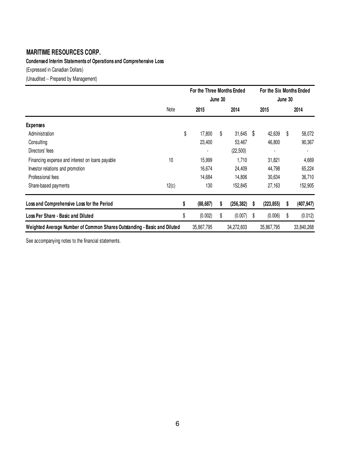**Condensed Interim Statements of Operations and Comprehensive Loss**

(Expressed in Canadian Dollars)

(Unaudited -- Prepared by Management)

|                                                                          | For the Three Months Ended |         |            |    | For the Six Months Ended |    |            |  |
|--------------------------------------------------------------------------|----------------------------|---------|------------|----|--------------------------|----|------------|--|
|                                                                          |                            | June 30 |            |    | June 30                  |    |            |  |
| Note                                                                     | 2015                       |         | 2014       |    | 2015                     |    | 2014       |  |
| <b>Expenses</b>                                                          |                            |         |            |    |                          |    |            |  |
| Administration                                                           | \$<br>17,800               | \$      | 31,645     | \$ | 42,639                   | S  | 58,072     |  |
| Consulting                                                               | 23,400                     |         | 53,467     |    | 46,800                   |    | 90,367     |  |
| Directors' fees                                                          |                            |         | (22, 500)  |    |                          |    |            |  |
| 10<br>Financing expense and interest on loans payable                    | 15,999                     |         | 1,710      |    | 31,821                   |    | 4,669      |  |
| Investor relations and promotion                                         | 16,674                     |         | 24,409     |    | 44,798                   |    | 65,224     |  |
| Professional fees                                                        | 14,684                     |         | 14,806     |    | 30,634                   |    | 36,710     |  |
| 12(c)<br>Share-based payments                                            | 130                        |         | 152,845    |    | 27,163                   |    | 152,905    |  |
| Loss and Comprehensive Loss for the Period                               | \$<br>(88, 687)            | \$      | (256, 382) | s  | (223, 855)               | S  | (407, 947) |  |
| Loss Per Share - Basic and Diluted                                       | \$<br>(0.002)              | \$      | (0.007)    | S  | (0.006)                  | \$ | (0.012)    |  |
| Weighted Average Number of Common Shares Outstanding - Basic and Diluted | 35,867,795                 |         | 34,272,603 |    | 35,867,795               |    | 33,840,268 |  |

See accompanying notes to the financial statements.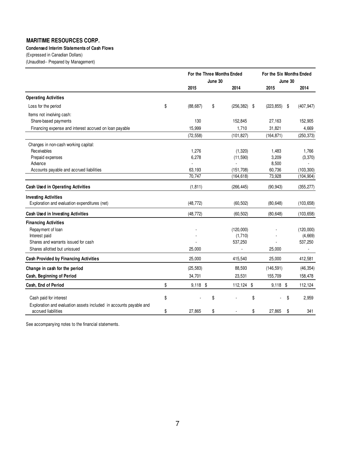#### **Condensed Interim Statements of Cash Flows**

(Expressed in Canadian Dollars)

(Unaudited-- Prepared by Management)

|                                                                                                                                          |          | For the Three Months Ended<br>June 30 |          |                                     | For the Six Months Ended<br>June 30 |                                 |
|------------------------------------------------------------------------------------------------------------------------------------------|----------|---------------------------------------|----------|-------------------------------------|-------------------------------------|---------------------------------|
|                                                                                                                                          |          | 2015                                  |          | 2014                                | 2015                                | 2014                            |
| <b>Operating Activities</b>                                                                                                              |          |                                       |          |                                     |                                     |                                 |
| Loss for the period                                                                                                                      | \$       | (88, 687)                             | \$       | $(256, 382)$ \$                     | (223, 855)<br>\$                    | (407, 947)                      |
| Items not involving cash:<br>Share-based payments                                                                                        |          | 130                                   |          | 152,845                             | 27,163                              | 152,905                         |
| Financing expense and interest accrued on loan payable                                                                                   |          | 15,999                                |          | 1,710                               | 31,821                              | 4,669                           |
|                                                                                                                                          |          | (72, 558)                             |          | (101, 827)                          | (164, 871)                          | (250, 373)                      |
| Changes in non-cash working capital:<br>Receivables<br>Prepaid expenses<br>Advance<br>Accounts payable and accrued liabilities           |          | 1,276<br>6,278<br>63,193              |          | (1, 320)<br>(11, 590)<br>(151, 708) | 1,483<br>3,209<br>8,500<br>60,736   | 1,766<br>(3,370)<br>(103, 300)  |
|                                                                                                                                          |          | 70,747                                |          | (164, 618)                          | 73,928                              | (104, 904)                      |
| Cash Used in Operating Activities                                                                                                        |          | (1, 811)                              |          | (266, 445)                          | (90, 943)                           | (355, 277)                      |
| <b>Investing Activities</b><br>Exploration and evaluation expenditures (net)                                                             |          | (48, 772)                             |          | (60, 502)                           | (80, 648)                           | (103, 658)                      |
| Cash Used in Investing Activities                                                                                                        |          | (48, 772)                             |          | (60, 502)                           | (80, 648)                           | (103, 658)                      |
| <b>Financing Activities</b><br>Repayment of loan<br>Interest paid<br>Shares and warrants issued for cash<br>Shares allotted but unissued |          | 25,000                                |          | (120,000)<br>(1,710)<br>537,250     | 25,000                              | (120,000)<br>(4,669)<br>537,250 |
| <b>Cash Provided by Financing Activities</b>                                                                                             |          | 25,000                                |          | 415,540                             | 25,000                              | 412,581                         |
| Change in cash for the period                                                                                                            |          | (25, 583)                             |          | 88,593                              | (146, 591)                          | (46, 354)                       |
| Cash, Beginning of Period                                                                                                                |          | 34,701                                |          | 23,531                              | 155,709                             | 158,478                         |
| Cash, End of Period                                                                                                                      | \$       | $9,118$ \$                            |          | 112,124 \$                          | $9,118$ \$                          | 112,124                         |
| Cash paid for interest<br>Exploration and evaluation assets included in accounts payable and<br>accrued liabilities                      | \$<br>\$ | 27,865                                | \$<br>\$ | \$<br>\$                            | \$<br>27,865<br>\$                  | 2,959<br>341                    |

See accompanying notes to the financial statements.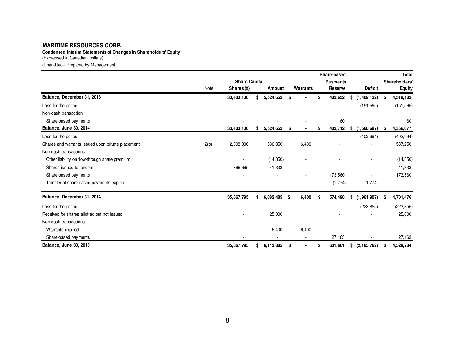**Condensed Interim Statements of Changes in Shareholders' Equity**

(Expressed in Canadian Dollars)

(Unaudited-- Prepared by Management)

|                                                   |       |                      |                 |      |                          |      | Share-based     |                          |   | Total               |
|---------------------------------------------------|-------|----------------------|-----------------|------|--------------------------|------|-----------------|--------------------------|---|---------------------|
|                                                   |       | <b>Share Capital</b> |                 |      |                          |      | <b>Payments</b> |                          |   | <b>Shareholders</b> |
|                                                   | Note  | Shares (#)           | Amount          |      | Warrants                 |      | Reserve         | <b>Deficit</b>           |   | <b>Equity</b>       |
| Balance, December 31, 2013                        |       | 33,403,130           | \$<br>5,524,652 |      |                          | \$   | 402,652         | \$<br>(1,409,122)        |   | 4,518,182           |
| Loss for the period                               |       |                      |                 |      |                          |      |                 | (151, 565)               |   | (151, 565)          |
| Non-cash transaction                              |       |                      |                 |      |                          |      |                 |                          |   |                     |
| Share-based payments                              |       |                      |                 |      |                          |      | 60              |                          |   | 60                  |
| Balance, June 30, 2014                            |       | 33,403,130           | \$<br>5,524,652 | \$   |                          | S    | 402,712         | \$<br>(1,560,687)        | S | 4,366,677           |
| Loss for the period                               |       |                      |                 |      | $\sim$                   |      |                 | (402, 994)               |   | (402, 994)          |
| Shares and warrants issued upon private placement | 12(b) | 2,098,000            | 530,850         |      | 6,400                    |      |                 |                          |   | 537,250             |
| Non-cash transactions                             |       |                      |                 |      |                          |      |                 |                          |   |                     |
| Other liability on flow-through share premium     |       |                      | (14, 350)       |      |                          |      |                 |                          |   | (14, 350)           |
| Shares issued to lenders                          |       | 366,665              | 41,333          |      | ٠                        |      |                 | $\sim$                   |   | 41,333              |
| Share-based payments                              |       |                      |                 |      | $\sim$                   |      | 173,560         |                          |   | 173,560             |
| Transfer of share-based payments expired          |       |                      |                 |      |                          |      | (1,774)         | 1,774                    |   |                     |
| Balance, December 31, 2014                        |       | 35,867,795           | \$<br>6,082,485 | - \$ | 6,400                    | - \$ | 574,498         | \$<br>(1,961,907)        | S | 4,701,476           |
| Loss for the period                               |       |                      |                 |      |                          |      |                 | (223, 855)               |   | (223, 855)          |
| Received for shares allotted but not issued       |       |                      | 25,000          |      |                          |      |                 |                          |   | 25,000              |
| Non-cash transactions                             |       |                      |                 |      |                          |      |                 |                          |   |                     |
| Warrants expired                                  |       |                      | 6,400           |      | (6, 400)                 |      |                 |                          |   |                     |
| Share-based payments                              |       |                      | ٠               |      | $\overline{\phantom{a}}$ |      | 27,163          | $\overline{\phantom{a}}$ |   | 27,163              |
| Balance, June 30, 2015                            |       | 35,867,795           | \$<br>6,113,885 | S    |                          |      | 601,661         | \$<br>(2, 185, 762)      | S | 4,529,784           |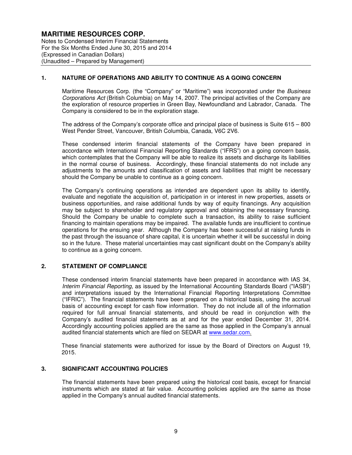Notes to Condensed Interim Financial Statements For the Six Months Ended June 30, 2015 and 2014 (Expressed in Canadian Dollars) (Unaudited – Prepared by Management)

## **1. NATURE OF OPERATIONS AND ABILITY TO CONTINUE AS A GOING CONCERN**

Maritime Resources Corp. (the "Company" or "Maritime") was incorporated under the Business Corporations Act (British Columbia) on May 14, 2007. The principal activities of the Company are the exploration of resource properties in Green Bay, Newfoundland and Labrador, Canada. The Company is considered to be in the exploration stage.

The address of the Company's corporate office and principal place of business is Suite 615 – 800 West Pender Street, Vancouver, British Columbia, Canada, V6C 2V6.

These condensed interim financial statements of the Company have been prepared in accordance with International Financial Reporting Standards ("IFRS") on a going concern basis, which contemplates that the Company will be able to realize its assets and discharge its liabilities in the normal course of business. Accordingly, these financial statements do not include any adjustments to the amounts and classification of assets and liabilities that might be necessary should the Company be unable to continue as a going concern.

The Company's continuing operations as intended are dependent upon its ability to identify, evaluate and negotiate the acquisition of, participation in or interest in new properties, assets or business opportunities, and raise additional funds by way of equity financings. Any acquisition may be subject to shareholder and regulatory approval and obtaining the necessary financing. Should the Company be unable to complete such a transaction, its ability to raise sufficient financing to maintain operations may be impaired. The available funds are insufficient to continue operations for the ensuing year. Although the Company has been successful at raising funds in the past through the issuance of share capital, it is uncertain whether it will be successful in doing so in the future. These material uncertainties may cast significant doubt on the Company's ability to continue as a going concern.

#### **2. STATEMENT OF COMPLIANCE**

These condensed interim financial statements have been prepared in accordance with IAS 34, Interim Financial Reporting, as issued by the International Accounting Standards Board ("IASB") and interpretations issued by the International Financial Reporting Interpretations Committee ("IFRIC"). The financial statements have been prepared on a historical basis, using the accrual basis of accounting except for cash flow information. They do not include all of the information required for full annual financial statements, and should be read in conjunction with the Company's audited financial statements as at and for the year ended December 31, 2014. Accordingly accounting policies applied are the same as those applied in the Company's annual audited financial statements which are filed on SEDAR at www.sedar.com.

These financial statements were authorized for issue by the Board of Directors on August 19, 2015.

#### **3. SIGNIFICANT ACCOUNTING POLICIES**

The financial statements have been prepared using the historical cost basis, except for financial instruments which are stated at fair value. Accounting policies applied are the same as those applied in the Company's annual audited financial statements.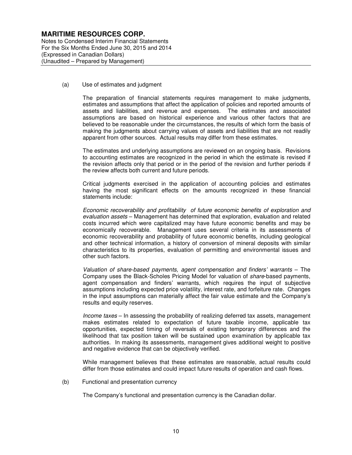Notes to Condensed Interim Financial Statements For the Six Months Ended June 30, 2015 and 2014 (Expressed in Canadian Dollars) (Unaudited – Prepared by Management)

(a) Use of estimates and judgment

The preparation of financial statements requires management to make judgments, estimates and assumptions that affect the application of policies and reported amounts of assets and liabilities, and revenue and expenses. The estimates and associated assumptions are based on historical experience and various other factors that are believed to be reasonable under the circumstances, the results of which form the basis of making the judgments about carrying values of assets and liabilities that are not readily apparent from other sources. Actual results may differ from these estimates.

The estimates and underlying assumptions are reviewed on an ongoing basis. Revisions to accounting estimates are recognized in the period in which the estimate is revised if the revision affects only that period or in the period of the revision and further periods if the review affects both current and future periods.

Critical judgments exercised in the application of accounting policies and estimates having the most significant effects on the amounts recognized in these financial statements include:

Economic recoverability and profitability of future economic benefits of exploration and evaluation assets – Management has determined that exploration, evaluation and related costs incurred which were capitalized may have future economic benefits and may be economically recoverable. Management uses several criteria in its assessments of economic recoverability and probability of future economic benefits, including geological and other technical information, a history of conversion of mineral deposits with similar characteristics to its properties, evaluation of permitting and environmental issues and other such factors.

Valuation of share-based payments, agent compensation and finders' warrants – The Company uses the Black-Scholes Pricing Model for valuation of share-based payments, agent compensation and finders' warrants, which requires the input of subjective assumptions including expected price volatility, interest rate, and forfeiture rate. Changes in the input assumptions can materially affect the fair value estimate and the Company's results and equity reserves.

Income taxes – In assessing the probability of realizing deferred tax assets, management makes estimates related to expectation of future taxable income, applicable tax opportunities, expected timing of reversals of existing temporary differences and the likelihood that tax position taken will be sustained upon examination by applicable tax authorities. In making its assessments, management gives additional weight to positive and negative evidence that can be objectively verified.

While management believes that these estimates are reasonable, actual results could differ from those estimates and could impact future results of operation and cash flows.

(b) Functional and presentation currency

The Company's functional and presentation currency is the Canadian dollar.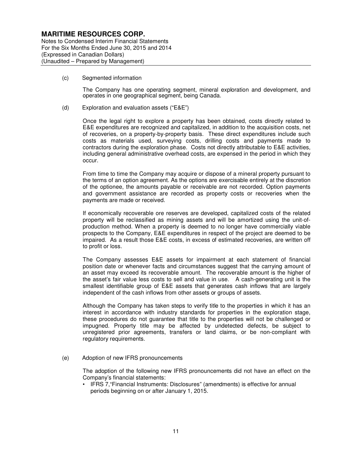Notes to Condensed Interim Financial Statements For the Six Months Ended June 30, 2015 and 2014 (Expressed in Canadian Dollars) (Unaudited – Prepared by Management)

(c) Segmented information

The Company has one operating segment, mineral exploration and development, and operates in one geographical segment, being Canada.

(d) Exploration and evaluation assets ("E&E")

Once the legal right to explore a property has been obtained, costs directly related to E&E expenditures are recognized and capitalized, in addition to the acquisition costs, net of recoveries, on a property-by-property basis. These direct expenditures include such costs as materials used, surveying costs, drilling costs and payments made to contractors during the exploration phase. Costs not directly attributable to E&E activities, including general administrative overhead costs, are expensed in the period in which they occur.

From time to time the Company may acquire or dispose of a mineral property pursuant to the terms of an option agreement. As the options are exercisable entirely at the discretion of the optionee, the amounts payable or receivable are not recorded. Option payments and government assistance are recorded as property costs or recoveries when the payments are made or received.

If economically recoverable ore reserves are developed, capitalized costs of the related property will be reclassified as mining assets and will be amortized using the unit-ofproduction method. When a property is deemed to no longer have commercially viable prospects to the Company, E&E expenditures in respect of the project are deemed to be impaired. As a result those E&E costs, in excess of estimated recoveries, are written off to profit or loss.

The Company assesses E&E assets for impairment at each statement of financial position date or whenever facts and circumstances suggest that the carrying amount of an asset may exceed its recoverable amount. The recoverable amount is the higher of the asset's fair value less costs to sell and value in use. A cash-generating unit is the smallest identifiable group of E&E assets that generates cash inflows that are largely independent of the cash inflows from other assets or groups of assets.

Although the Company has taken steps to verify title to the properties in which it has an interest in accordance with industry standards for properties in the exploration stage, these procedures do not guarantee that title to the properties will not be challenged or impugned. Property title may be affected by undetected defects, be subject to unregistered prior agreements, transfers or land claims, or be non-compliant with regulatory requirements.

(e) Adoption of new IFRS pronouncements

The adoption of the following new IFRS pronouncements did not have an effect on the Company's financial statements:

• IFRS 7,"Financial Instruments: Disclosures" (amendments) is effective for annual periods beginning on or after January 1, 2015.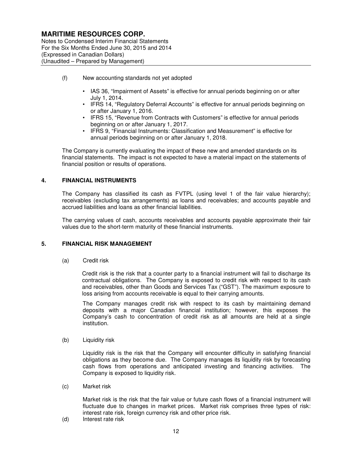Notes to Condensed Interim Financial Statements For the Six Months Ended June 30, 2015 and 2014 (Expressed in Canadian Dollars) (Unaudited – Prepared by Management)

- (f) New accounting standards not yet adopted
	- IAS 36, "Impairment of Assets" is effective for annual periods beginning on or after July 1, 2014.
	- IFRS 14, "Regulatory Deferral Accounts" is effective for annual periods beginning on or after January 1, 2016.
	- IFRS 15, "Revenue from Contracts with Customers" is effective for annual periods beginning on or after January 1, 2017.
	- IFRS 9, "Financial Instruments: Classification and Measurement" is effective for annual periods beginning on or after January 1, 2018.

The Company is currently evaluating the impact of these new and amended standards on its financial statements. The impact is not expected to have a material impact on the statements of financial position or results of operations.

## **4. FINANCIAL INSTRUMENTS**

The Company has classified its cash as FVTPL (using level 1 of the fair value hierarchy); receivables (excluding tax arrangements) as loans and receivables; and accounts payable and accrued liabilities and loans as other financial liabilities.

The carrying values of cash, accounts receivables and accounts payable approximate their fair values due to the short-term maturity of these financial instruments.

#### **5. FINANCIAL RISK MANAGEMENT**

(a) Credit risk

Credit risk is the risk that a counter party to a financial instrument will fail to discharge its contractual obligations. The Company is exposed to credit risk with respect to its cash and receivables, other than Goods and Services Tax ("GST"). The maximum exposure to loss arising from accounts receivable is equal to their carrying amounts.

The Company manages credit risk with respect to its cash by maintaining demand deposits with a major Canadian financial institution; however, this exposes the Company's cash to concentration of credit risk as all amounts are held at a single institution.

(b) Liquidity risk

Liquidity risk is the risk that the Company will encounter difficulty in satisfying financial obligations as they become due. The Company manages its liquidity risk by forecasting cash flows from operations and anticipated investing and financing activities. The Company is exposed to liquidity risk.

(c) Market risk

Market risk is the risk that the fair value or future cash flows of a financial instrument will fluctuate due to changes in market prices. Market risk comprises three types of risk: interest rate risk, foreign currency risk and other price risk.

(d) Interest rate risk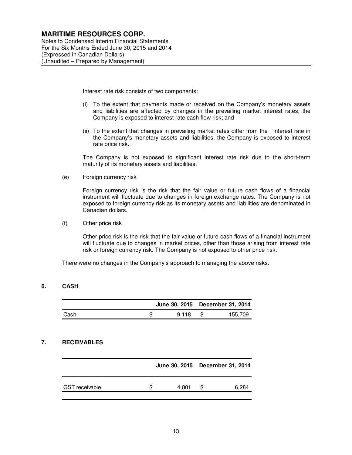Notes to Condensed Interim Financial Statements For the Six Months Ended June 30, 2015 and 2014 (Expressed in Canadian Dollars) (Unaudited – Prepared by Management)

Interest rate risk consists of two components:

- (i) To the extent that payments made or received on the Company's monetary assets and liabilities are affected by changes in the prevailing market interest rates, the Company is exposed to interest rate cash flow risk; and
- (ii) To the extent that changes in prevailing market rates differ from the interest rate in the Company's monetary assets and liabilities, the Company is exposed to interest rate price risk.

The Company is not exposed to significant interest rate risk due to the short-term maturity of its monetary assets and liabilities.

(e) Foreign currency risk

Foreign currency risk is the risk that the fair value or future cash flows of a financial instrument will fluctuate due to changes in foreign exchange rates. The Company is not exposed to foreign currency risk as its monetary assets and liabilities are denominated in Canadian dollars.

(f) Other price risk

Other price risk is the risk that the fair value or future cash flows of a financial instrument will fluctuate due to changes in market prices, other than those arising from interest rate risk or foreign currency risk. The Company is not exposed to other price risk.

There were no changes in the Company's approach to managing the above risks.

#### **6. CASH**

|      |       | June 30, 2015 December 31, 2014 |
|------|-------|---------------------------------|
| Cash | 9.118 | 155,709                         |

## **7. RECEIVABLES**

|                       | June 30, 2015 December 31, 2014 |       |     |       |
|-----------------------|---------------------------------|-------|-----|-------|
| <b>GST</b> receivable |                                 | 4.801 | \$. | 6,284 |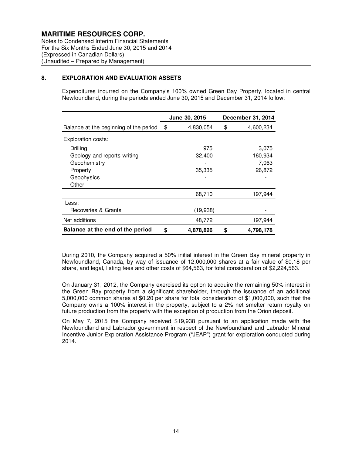Notes to Condensed Interim Financial Statements For the Six Months Ended June 30, 2015 and 2014 (Expressed in Canadian Dollars) (Unaudited – Prepared by Management)

#### **8. EXPLORATION AND EVALUATION ASSETS**

Expenditures incurred on the Company's 100% owned Green Bay Property, located in central Newfoundland, during the periods ended June 30, 2015 and December 31, 2014 follow:

|                                        | June 30, 2015   | December 31, 2014 |
|----------------------------------------|-----------------|-------------------|
| Balance at the beginning of the period | \$<br>4,830,054 | \$<br>4,600,234   |
| Exploration costs:                     |                 |                   |
| Drilling                               | 975             | 3,075             |
| Geology and reports writing            | 32,400          | 160,934           |
| Geochemistry                           |                 | 7,063             |
| Property                               | 35,335          | 26,872            |
| Geophysics                             |                 |                   |
| Other                                  |                 |                   |
|                                        | 68,710          | 197,944           |
| Less:                                  |                 |                   |
| Recoveries & Grants                    | (19,938)        |                   |
| Net additions                          | 48,772          | 197,944           |
| Balance at the end of the period       | \$<br>4,878,826 | \$<br>4,798,178   |

During 2010, the Company acquired a 50% initial interest in the Green Bay mineral property in Newfoundland, Canada, by way of issuance of 12,000,000 shares at a fair value of \$0.18 per share, and legal, listing fees and other costs of \$64,563, for total consideration of \$2,224,563.

On January 31, 2012, the Company exercised its option to acquire the remaining 50% interest in the Green Bay property from a significant shareholder, through the issuance of an additional 5,000,000 common shares at \$0.20 per share for total consideration of \$1,000,000, such that the Company owns a 100% interest in the property, subject to a 2% net smelter return royalty on future production from the property with the exception of production from the Orion deposit.

On May 7, 2015 the Company received \$19,938 pursuant to an application made with the Newfoundland and Labrador government in respect of the Newfoundland and Labrador Mineral Incentive Junior Exploration Assistance Program ("JEAP") grant for exploration conducted during 2014.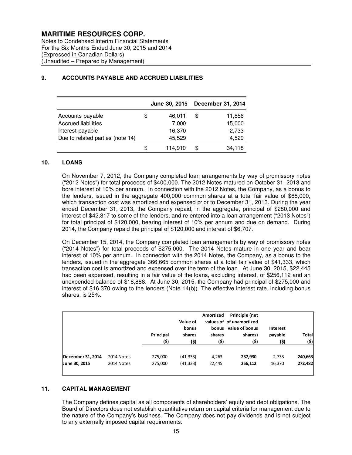Notes to Condensed Interim Financial Statements For the Six Months Ended June 30, 2015 and 2014 (Expressed in Canadian Dollars) (Unaudited – Prepared by Management)

|                                  |    | <b>June 30, 2015</b> | December 31, 2014 |
|----------------------------------|----|----------------------|-------------------|
| Accounts payable                 | \$ | 46,011               | \$<br>11,856      |
| <b>Accrued liabilities</b>       |    | 7,000                | 15,000            |
| Interest payable                 |    | 16,370               | 2,733             |
| Due to related parties (note 14) |    | 45,529               | 4,529             |
|                                  | S  | 114,910              | 34.118            |

## **9. ACCOUNTS PAYABLE AND ACCRUED LIABILITIES**

#### **10. LOANS**

On November 7, 2012, the Company completed loan arrangements by way of promissory notes ("2012 Notes") for total proceeds of \$400,000. The 2012 Notes matured on October 31, 2013 and bore interest of 10% per annum. In connection with the 2012 Notes, the Company, as a bonus to the lenders, issued in the aggregate 400,000 common shares at a total fair value of \$68,000, which transaction cost was amortized and expensed prior to December 31, 2013. During the year ended December 31, 2013, the Company repaid, in the aggregate, principal of \$280,000 and interest of \$42,317 to some of the lenders, and re-entered into a loan arrangement ("2013 Notes") for total principal of \$120,000, bearing interest of 10% per annum and due on demand. During 2014, the Company repaid the principal of \$120,000 and interest of \$6,707.

On December 15, 2014, the Company completed loan arrangements by way of promissory notes ("2014 Notes") for total proceeds of \$275,000. The 2014 Notes mature in one year and bear interest of 10% per annum. In connection with the 2014 Notes, the Company, as a bonus to the lenders, issued in the aggregate 366,665 common shares at a total fair value of \$41,333, which transaction cost is amortized and expensed over the term of the loan. At June 30, 2015, \$22,445 had been expensed, resulting in a fair value of the loans, excluding interest, of \$256,112 and an unexpended balance of \$18,888. At June 30, 2015, the Company had principal of \$275,000 and interest of \$16,370 owing to the lenders (Note 14(b)). The effective interest rate, including bonus shares, is 25%.

|                   |            | Principal<br>(\$) | Value of<br>bonus<br>shares<br>(\$) | Amortized<br>shares<br>(\$) | Principle (net<br>values of of unamortized<br>bonus value of bonus<br>shares)<br>(\$) | <b>Interest</b><br>payable<br>(\$) | <b>Total</b><br>(\$) |
|-------------------|------------|-------------------|-------------------------------------|-----------------------------|---------------------------------------------------------------------------------------|------------------------------------|----------------------|
| December 31, 2014 | 2014 Notes | 275,000           | (41, 333)                           | 4,263                       | 237,930                                                                               | 2,733                              | 240,663              |
| June 30, 2015     | 2014 Notes | 275,000           | (41, 333)                           | 22,445                      | 256,112                                                                               | 16,370                             | 272,482              |

#### **11. CAPITAL MANAGEMENT**

The Company defines capital as all components of shareholders' equity and debt obligations. The Board of Directors does not establish quantitative return on capital criteria for management due to the nature of the Company's business. The Company does not pay dividends and is not subject to any externally imposed capital requirements.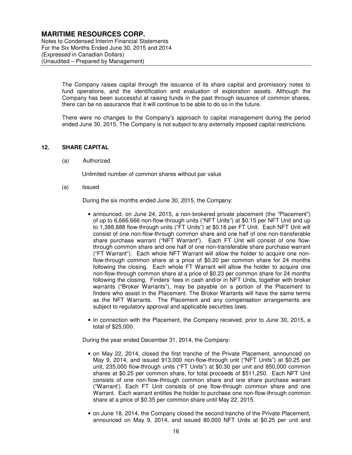Notes to Condensed Interim Financial Statements For the Six Months Ended June 30, 2015 and 2014 (Expressed in Canadian Dollars) (Unaudited – Prepared by Management)

> The Company raises capital through the issuance of its share capital and promissory notes to fund operations, and the identification and evaluation of exploration assets. Although the Company has been successful at raising funds in the past through issuance of common shares, there can be no assurance that it will continue to be able to do so in the future.

> There were no changes to the Company's approach to capital management during the period ended June 30, 2015. The Company is not subject to any externally imposed capital restrictions.

#### **12. SHARE CAPITAL**

(a) Authorized

Unlimited number of common shares without par value

(a) Issued

During the six months ended June 30, 2015, the Company:

- announced, on June 24, 2015, a non-brokered private placement (the "Placement") of up to 6,666,666 non-flow-through units ("NFT Units") at \$0.15 per NFT Unit and up to 1,388,888 flow-through units ("FT Units") at \$0.18 per FT Unit. Each NFT Unit will consist of one non-flow-through common share and one half of one non-transferable share purchase warrant ("NFT Warrant"). Each FT Unit will consist of one flowthrough common share and one half of one non-transferable share purchase warrant ("FT Warrant"). Each whole NFT Warrant will allow the holder to acquire one nonflow-through common share at a price of \$0.20 per common share for 24 months following the closing. Each whole FT Warrant will allow the holder to acquire one non-flow-through common share at a price of \$0.23 per common share for 24 months following the closing. Finders' fees in cash and/or in NFT Units, together with broker warrants ("Broker Warrants"), may be payable on a portion of the Placement to finders who assist in the Placement. The Broker Warrants will have the same terms as the NFT Warrants. The Placement and any compensation arrangements are subject to regulatory approval and applicable securities laws.
- In connection with the Placement, the Company received, prior to June 30, 2015, a total of \$25,000.

During the year ended December 31, 2014, the Company:

- on May 22, 2014, closed the first tranche of the Private Placement, announced on May 9, 2014, and issued 913,000 non-flow-through unit ("NFT Units") at \$0.25 per unit, 235,000 flow-through units ("FT Units") at \$0.30 per unit and 850,000 common shares at \$0.25 per common share, for total proceeds of \$511,250. Each NFT Unit consists of one non-flow-through common share and one share purchase warrant ("Warrant'). Each FT Unit consists of one flow-through common share and one Warrant. Each warrant entitles the holder to purchase one non-flow-through common share at a price of \$0.35 per common share until May 22, 2015.
- on June 18, 2014, the Company closed the second tranche of the Private Placement, announced on May 9, 2014, and issued 80,000 NFT Units at \$0.25 per unit and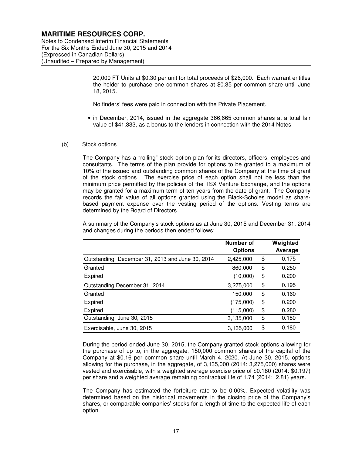Notes to Condensed Interim Financial Statements For the Six Months Ended June 30, 2015 and 2014 (Expressed in Canadian Dollars) (Unaudited – Prepared by Management)

> 20,000 FT Units at \$0.30 per unit for total proceeds of \$26,000. Each warrant entitles the holder to purchase one common shares at \$0.35 per common share until June 18, 2015.

No finders' fees were paid in connection with the Private Placement.

- in December, 2014, issued in the aggregate 366,665 common shares at a total fair value of \$41,333, as a bonus to the lenders in connection with the 2014 Notes
- (b) Stock options

The Company has a "rolling" stock option plan for its directors, officers, employees and consultants. The terms of the plan provide for options to be granted to a maximum of 10% of the issued and outstanding common shares of the Company at the time of grant of the stock options. The exercise price of each option shall not be less than the minimum price permitted by the policies of the TSX Venture Exchange, and the options may be granted for a maximum term of ten years from the date of grant. The Company records the fair value of all options granted using the Black-Scholes model as sharebased payment expense over the vesting period of the options. Vesting terms are determined by the Board of Directors.

A summary of the Company's stock options as at June 30, 2015 and December 31, 2014 and changes during the periods then ended follows:

|                                                  | Number of<br><b>Options</b> | Weighted<br>Average |
|--------------------------------------------------|-----------------------------|---------------------|
| Outstanding, December 31, 2013 and June 30, 2014 | 2,425,000                   | \$<br>0.175         |
| Granted                                          | 860,000                     | \$<br>0.250         |
| Expired                                          | (10,000)                    | \$<br>0.200         |
| Outstanding December 31, 2014                    | 3,275,000                   | \$<br>0.195         |
| Granted                                          | 150,000                     | \$<br>0.160         |
| Expired                                          | (175,000)                   | \$<br>0.200         |
| Expired                                          | (115,000)                   | \$<br>0.280         |
| Outstanding, June 30, 2015                       | 3,135,000                   | \$<br>0.180         |
| Exercisable, June 30, 2015                       | 3,135,000                   | \$<br>0.180         |

During the period ended June 30, 2015, the Company granted stock options allowing for the purchase of up to, in the aggregate, 150,000 common shares of the capital of the Company at \$0.16 per common share until March 4, 2020. At June 30, 2015, options allowing for the purchase, in the aggregate, of 3,135,000 (2014: 3,275,000) shares were vested and exercisable, with a weighted average exercise price of \$0.180 (2014: \$0.197) per share and a weighted average remaining contractual life of 1.74 (2014: 2.81) years.

The Company has estimated the forfeiture rate to be 0.00%. Expected volatility was determined based on the historical movements in the closing price of the Company's shares, or comparable companies' stocks for a length of time to the expected life of each option.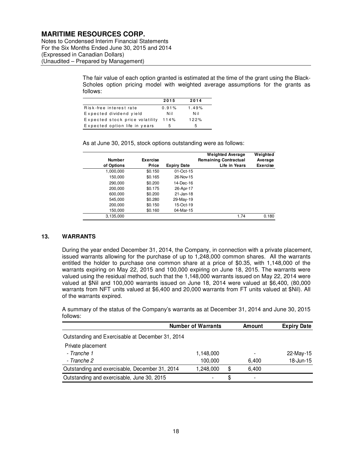Notes to Condensed Interim Financial Statements For the Six Months Ended June 30, 2015 and 2014 (Expressed in Canadian Dollars) (Unaudited – Prepared by Management)

> The fair value of each option granted is estimated at the time of the grant using the Black-Scholes option pricing model with weighted average assumptions for the grants as follows:

|                                 | 2015  | 2014  |
|---------------------------------|-------|-------|
| Risk-free interest rate         | 0.91% | 1.49% |
| Expected dividend yield         | N il  | Nil   |
| Expected stock price volatility | 114%  | 122%  |
| Expected option life in years   | 5     | 5     |

As at June 30, 2015, stock options outstanding were as follows:

|               |                 |                    | <b>Weighted Average</b>      | Weighted        |
|---------------|-----------------|--------------------|------------------------------|-----------------|
| <b>Number</b> | <b>Exercise</b> |                    | <b>Remaining Contractual</b> | Average         |
| of Options    | Price           | <b>Expiry Date</b> | Life in Years                | <b>Exercise</b> |
| 1,000,000     | \$0.150         | 01-Oct-15          |                              |                 |
| 150,000       | \$0.165         | 26-Nov-15          |                              |                 |
| 290,000       | \$0.200         | 14-Dec-16          |                              |                 |
| 200.000       | \$0.175         | 26-Apr-17          |                              |                 |
| 600,000       | \$0.200         | 21-Jan-18          |                              |                 |
| 545.000       | \$0.280         | 29-May-19          |                              |                 |
| 200,000       | \$0.150         | 15-Oct-19          |                              |                 |
| 150,000       | \$0.160         | 04-Mar-15          |                              |                 |
| 3,135,000     |                 |                    | 1.74                         | 0.180           |

## **13. WARRANTS**

During the year ended December 31, 2014, the Company, in connection with a private placement, issued warrants allowing for the purchase of up to 1,248,000 common shares. All the warrants entitled the holder to purchase one common share at a price of \$0.35, with 1,148,000 of the warrants expiring on May 22, 2015 and 100,000 expiring on June 18, 2015. The warrants were valued using the residual method, such that the 1,148,000 warrants issued on May 22, 2014 were valued at \$Nil and 100,000 warrants issued on June 18, 2014 were valued at \$6,400, (80,000 warrants from NFT units valued at \$6,400 and 20,000 warrants from FT units valued at \$Nil). All of the warrants expired.

A summary of the status of the Company's warrants as at December 31, 2014 and June 30, 2015 follows:

|                                                  | <b>Number of Warrants</b> | Amount                         | <b>Expiry Date</b> |  |
|--------------------------------------------------|---------------------------|--------------------------------|--------------------|--|
| Outstanding and Exercisable at December 31, 2014 |                           |                                |                    |  |
| Private placement                                |                           |                                |                    |  |
| - Tranche 1                                      | 1,148,000                 |                                | 22-May-15          |  |
| - Tranche 2                                      | 100,000                   | 6,400                          | 18-Jun-15          |  |
| Outstanding and exercisable, December 31, 2014   | 1.248.000                 | \$<br>6.400                    |                    |  |
| Outstanding and exercisable, June 30, 2015       |                           | \$<br>$\overline{\phantom{0}}$ |                    |  |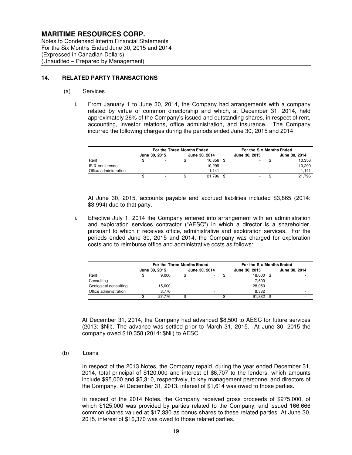Notes to Condensed Interim Financial Statements For the Six Months Ended June 30, 2015 and 2014 (Expressed in Canadian Dollars) (Unaudited – Prepared by Management)

#### **14. RELATED PARTY TRANSACTIONS**

#### (a) Services

i. From January 1 to June 30, 2014, the Company had arrangements with a company related by virtue of common directorship and which, at December 31, 2014, held approximately 26% of the Company's issued and outstanding shares, in respect of rent, accounting, investor relations, office administration, and insurance. The Company incurred the following charges during the periods ended June 30, 2015 and 2014:

|                       | For the Three Months Ended |   |               |        | For the Six Months Ended |               |  |               |  |
|-----------------------|----------------------------|---|---------------|--------|--------------------------|---------------|--|---------------|--|
|                       | June 30, 2015              |   | June 30, 2014 |        |                          | June 30, 2015 |  | June 30, 2014 |  |
| Rent                  |                            |   |               | 10.356 |                          |               |  | 10,356        |  |
| IR & conference       |                            |   |               | 10,299 |                          |               |  | 10,299        |  |
| Office administration |                            | - |               | 1.141  |                          |               |  | 1.141         |  |
|                       |                            |   |               | 21.796 |                          |               |  | 21.796        |  |

At June 30, 2015, accounts payable and accrued liabilities included \$3,865 (2014: \$3,994) due to that party.

ii. Effective July 1, 2014 the Company entered into arrangement with an administration and exploration services contractor ("AESC") in which a director is a shareholder, pursuant to which it receives office, administrative and exploration services. For the periods ended June 30, 2015 and 2014, the Company was charged for exploration costs and to reimburse office and administrative costs as follows:

|                       | For the Three Months Ended |        |               |   |  | For the Six Months Ended |               |                          |  |
|-----------------------|----------------------------|--------|---------------|---|--|--------------------------|---------------|--------------------------|--|
|                       | June 30, 2015              |        | June 30, 2014 |   |  | June 30, 2015            | June 30, 2014 |                          |  |
| Rent                  |                            | 9.000  | \$            |   |  | 18,000 \$                |               |                          |  |
| Consulting            |                            | -      |               |   |  | 7.500                    |               |                          |  |
| Geological consulting |                            | 15,000 |               |   |  | 28.050                   |               |                          |  |
| Office administration |                            | 3.776  |               |   |  | 8.332                    |               | $\overline{\phantom{a}}$ |  |
|                       |                            | 27.776 |               | - |  | 61,882                   |               |                          |  |

At December 31, 2014, the Company had advanced \$8,500 to AESC for future services (2013: \$Nil). The advance was settled prior to March 31, 2015. At June 30, 2015 the company owed \$10,358 (2014: \$Nil) to AESC.

#### (b) Loans

In respect of the 2013 Notes, the Company repaid, during the year ended December 31, 2014, total principal of \$120,000 and interest of \$6,707 to the lenders, which amounts include \$95,000 and \$5,310, respectively, to key management personnel and directors of the Company. At December 31, 2013, interest of \$1,614 was owed to those parties.

In respect of the 2014 Notes, the Company received gross proceeds of \$275,000, of which \$125,000 was provided by parties related to the Company, and issued 166,666 common shares valued at \$17,330 as bonus shares to these related parties. At June 30, 2015, interest of \$16,370 was owed to those related parties.